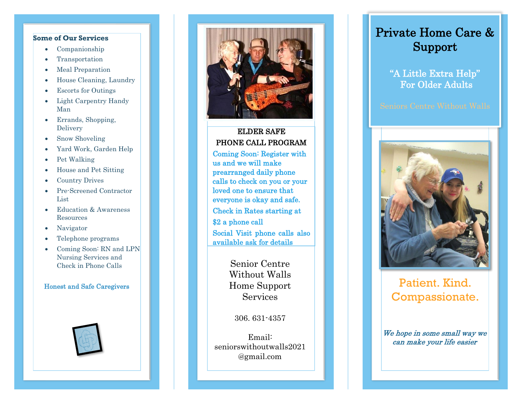### **Some of Our Services**

- Companionship
- **Transportation**
- Meal Preparation
- House Cleaning, Laundry
- Escorts for Outings
- Light Carpentry Handy Man
- Errands, Shopping, Delivery
- Snow Shoveling
- Yard Work, Garden Help
- Pet Walking
- House and Pet Sitting
- Country Drives
- Pre-Screened Contractor List
- Education & Awareness Resources
- Navigator
- Telephone program s
- Coming Soon: RN and LPN Nursing Services and Check in Phone Calls

### Honest and Safe Caregivers





## ELDER SAFE PHONE CALL PROGRAM

Coming Soon: Register with us and we will make prearranged daily phone calls to check on you or your loved one to ensure that everyone is okay and safe. Check in Rates starting at \$2 a phone call Social Visit phone calls also available ask for details

> Senior Centre Without Walls Home Support Services

> > 306. 631 -4357

Email: seniorswithoutwalls2021 @gmail.com

# Private Home Care & Support

"A Little Extra Help" For Older Adults



# Patient. Kind. Compassionate.

We hope in some small way we can make your life easier